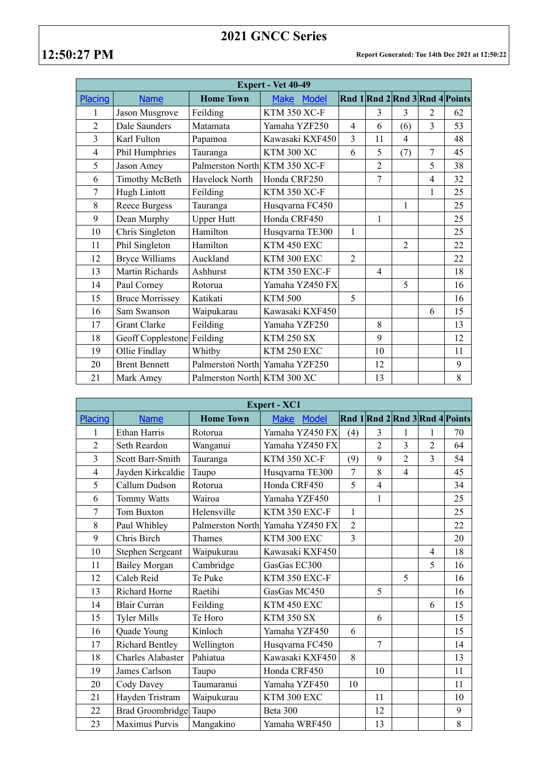## **2021 GNCC Series**

| Expert - Vet 40-49 |                            |                                |                             |                |                |                |                |                                |
|--------------------|----------------------------|--------------------------------|-----------------------------|----------------|----------------|----------------|----------------|--------------------------------|
| Placing            | <b>Name</b>                | <b>Home Town</b>               | <b>Model</b><br><b>Make</b> |                |                |                |                | Rnd 1 Rnd 2 Rnd 3 Rnd 4 Points |
| 1                  | Jason Musgrove             | Feilding                       | <b>KTM 350 XC-F</b>         |                | 3              | 3              | $\overline{2}$ | 62                             |
| $\overline{2}$     | Dale Saunders              | Matamata                       | Yamaha YZF250               | $\overline{4}$ | 6              | (6)            | 3              | 53                             |
| 3                  | Karl Fulton                | Papamoa                        | Kawasaki KXF450             | 3              | 11             | $\overline{4}$ |                | 48                             |
| $\overline{4}$     | Phil Humphries             | Tauranga                       | <b>KTM 300 XC</b>           | 6              | 5              | (7)            | 7              | 45                             |
| 5                  | Jason Amey                 | Palmerston North KTM 350 XC-F  |                             |                | $\overline{2}$ |                | 5              | 38                             |
| 6                  | <b>Timothy McBeth</b>      | Havelock North                 | Honda CRF250                |                | 7              |                | $\overline{4}$ | 32                             |
| $\overline{7}$     | Hugh Lintott               | Feilding                       | <b>KTM 350 XC-F</b>         |                |                |                | 1              | 25                             |
| 8                  | <b>Reece Burgess</b>       | Tauranga                       | Husqvarna FC450             |                |                | 1              |                | 25                             |
| 9                  | Dean Murphy                | <b>Upper Hutt</b>              | Honda CRF450                |                | 1              |                |                | 25                             |
| 10                 | Chris Singleton            | Hamilton                       | Husqvarna TE300             | 1              |                |                |                | 25                             |
| 11                 | Phil Singleton             | Hamilton                       | KTM 450 EXC                 |                |                | $\overline{2}$ |                | 22                             |
| 12                 | <b>Bryce Williams</b>      | Auckland                       | KTM 300 EXC                 | $\overline{2}$ |                |                |                | 22                             |
| 13                 | Martin Richards            | Ashhurst                       | KTM 350 EXC-F               |                | $\overline{4}$ |                |                | 18                             |
| 14                 | Paul Corney                | Rotorua                        | Yamaha YZ450 FX             |                |                | 5              |                | 16                             |
| 15                 | <b>Bruce Morrissey</b>     | Katikati                       | <b>KTM 500</b>              | 5              |                |                |                | 16                             |
| 16                 | Sam Swanson                | Waipukarau                     | Kawasaki KXF450             |                |                |                | 6              | 15                             |
| 17                 | <b>Grant Clarke</b>        | Feilding                       | Yamaha YZF250               |                | 8              |                |                | 13                             |
| 18                 | Geoff Copplestone Feilding |                                | <b>KTM 250 SX</b>           |                | 9              |                |                | 12                             |
| 19                 | Ollie Findlay              | Whitby                         | KTM 250 EXC                 |                | 10             |                |                | 11                             |
| 20                 | <b>Brent Bennett</b>       | Palmerston North Yamaha YZF250 |                             |                | 12             |                |                | 9                              |
| 21                 | Mark Amey                  | Palmerston North KTM 300 XC    |                             |                | 13             |                |                | $\,8\,$                        |

| <b>Expert - XC1</b> |                          |                  |                             |                |                |                |                |                                |
|---------------------|--------------------------|------------------|-----------------------------|----------------|----------------|----------------|----------------|--------------------------------|
| <b>Placing</b>      | <b>Name</b>              | <b>Home Town</b> | <b>Make</b><br><b>Model</b> |                |                |                |                | Rnd 1 Rnd 2 Rnd 3 Rnd 4 Points |
| 1                   | <b>Ethan Harris</b>      | Rotorua          | Yamaha YZ450 FX             | (4)            | 3              | 1              | 1              | 70                             |
| $\overline{2}$      | Seth Reardon             | Wanganui         | Yamaha YZ450 FX             |                | $\overline{2}$ | 3              | $\overline{2}$ | 64                             |
| $\overline{3}$      | Scott Barr-Smith         | Tauranga         | <b>KTM 350 XC-F</b>         | (9)            | 9              | $\overline{2}$ | 3              | 54                             |
| 4                   | Jayden Kirkcaldie        | Taupo            | Husqvarna TE300             | 7              | 8              | $\overline{4}$ |                | 45                             |
| 5                   | Callum Dudson            | Rotorua          | Honda CRF450                | 5              | $\overline{4}$ |                |                | 34                             |
| 6                   | Tommy Watts              | Wairoa           | Yamaha YZF450               |                | 1              |                |                | 25                             |
| $\overline{7}$      | Tom Buxton               | Helensville      | KTM 350 EXC-F               | $\mathbf{1}$   |                |                |                | 25                             |
| 8                   | Paul Whibley             | Palmerston North | Yamaha YZ450 FX             | $\overline{2}$ |                |                |                | 22                             |
| 9                   | Chris Birch              | Thames           | KTM 300 EXC                 | 3              |                |                |                | 20                             |
| 10                  | Stephen Sergeant         | Waipukurau       | Kawasaki KXF450             |                |                |                | $\overline{4}$ | 18                             |
| 11                  | <b>Bailey Morgan</b>     | Cambridge        | GasGas EC300                |                |                |                | 5              | 16                             |
| 12                  | Caleb Reid               | Te Puke          | KTM 350 EXC-F               |                |                | 5              |                | 16                             |
| 13                  | Richard Horne            | Raetihi          | GasGas MC450                |                | 5              |                |                | 16                             |
| 14                  | <b>Blair Curran</b>      | Feilding         | KTM 450 EXC                 |                |                |                | 6              | 15                             |
| 15                  | <b>Tyler Mills</b>       | Te Horo          | <b>KTM 350 SX</b>           |                | 6              |                |                | 15                             |
| 16                  | Quade Young              | Kinloch          | Yamaha YZF450               | 6              |                |                |                | 15                             |
| 17                  | <b>Richard Bentley</b>   | Wellington       | Husqvarna FC450             |                | $\overline{7}$ |                |                | 14                             |
| 18                  | <b>Charles Alabaster</b> | Pahiatua         | Kawasaki KXF450             | 8              |                |                |                | 13                             |
| 19                  | James Carlson            | Taupo            | Honda CRF450                |                | 10             |                |                | 11                             |
| 20                  | Cody Davey               | Taumaranui       | Yamaha YZF450               | 10             |                |                |                | 11                             |
| 21                  | Hayden Tristram          | Waipukurau       | KTM 300 EXC                 |                | 11             |                |                | 10                             |
| 22                  | Brad Groombridge Taupo   |                  | Beta 300                    |                | 12             |                |                | 9                              |
| 23                  | Maximus Purvis           | Mangakino        | Yamaha WRF450               |                | 13             |                |                | 8                              |